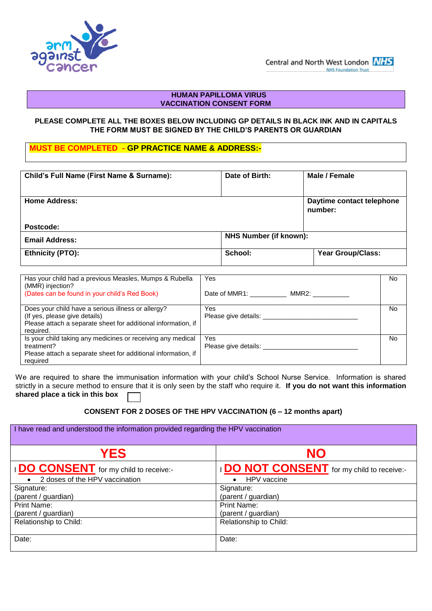

## **HUMAN PAPILLOMA VIRUS VACCINATION CONSENT FORM**

## **PLEASE COMPLETE ALL THE BOXES BELOW INCLUDING GP DETAILS IN BLACK INK AND IN CAPITALS THE FORM MUST BE SIGNED BY THE CHILD'S PARENTS OR GUARDIAN**

**MUST BE COMPLETED - GP PRACTICE NAME & ADDRESS:-**

| Child's Full Name (First Name & Surname): | Date of Birth:                | Male / Female             |
|-------------------------------------------|-------------------------------|---------------------------|
|                                           |                               |                           |
|                                           |                               |                           |
|                                           |                               |                           |
| <b>Home Address:</b>                      |                               | Daytime contact telephone |
|                                           |                               |                           |
|                                           |                               | number:                   |
|                                           |                               |                           |
|                                           |                               |                           |
| Postcode:                                 |                               |                           |
|                                           | <b>NHS Number (if known):</b> |                           |
| <b>Email Address:</b>                     |                               |                           |
|                                           |                               |                           |
| <b>Ethnicity (PTO):</b>                   | School:                       | <b>Year Group/Class:</b>  |
|                                           |                               |                           |
|                                           |                               |                           |

| Has your child had a previous Measles, Mumps & Rubella<br>(MMR) injection?<br>(Dates can be found in your child's Red Book)                                       | Yes<br>Date of MMR1:<br>MMR2: | No. |
|-------------------------------------------------------------------------------------------------------------------------------------------------------------------|-------------------------------|-----|
| Does your child have a serious illness or allergy?<br>(If yes, please give details)<br>Please attach a separate sheet for additional information, if<br>required. | Yes<br>Please give details:   | No. |
| Is your child taking any medicines or receiving any medical<br>treatment?<br>Please attach a separate sheet for additional information, if<br>required            | Yes<br>Please give details:   | No. |

We are required to share the immunisation information with your child's School Nurse Service. Information is shared strictly in a secure method to ensure that it is only seen by the staff who require it. **If you do not want this information shared place a tick in this box** 

**CONSENT FOR 2 DOSES OF THE HPV VACCINATION (6 – 12 months apart)**

| I have read and understood the information provided regarding the HPV vaccination |                                                 |  |  |  |  |
|-----------------------------------------------------------------------------------|-------------------------------------------------|--|--|--|--|
| <b>YES</b>                                                                        | <b>NO</b>                                       |  |  |  |  |
| <b>IDO CONSENT</b> for my child to receive:-                                      | <b>DO NOT CONSENT</b> for my child to receive:- |  |  |  |  |
| 2 doses of the HPV vaccination<br>$\bullet$                                       | HPV vaccine<br>$\bullet$                        |  |  |  |  |
| Signature:                                                                        | Signature:                                      |  |  |  |  |
| (parent / guardian)                                                               | (parent / guardian)                             |  |  |  |  |
| <b>Print Name:</b>                                                                | Print Name:                                     |  |  |  |  |
| (parent / guardian)                                                               | (parent / guardian)                             |  |  |  |  |
| Relationship to Child:                                                            | Relationship to Child:                          |  |  |  |  |
| Date:                                                                             | Date:                                           |  |  |  |  |